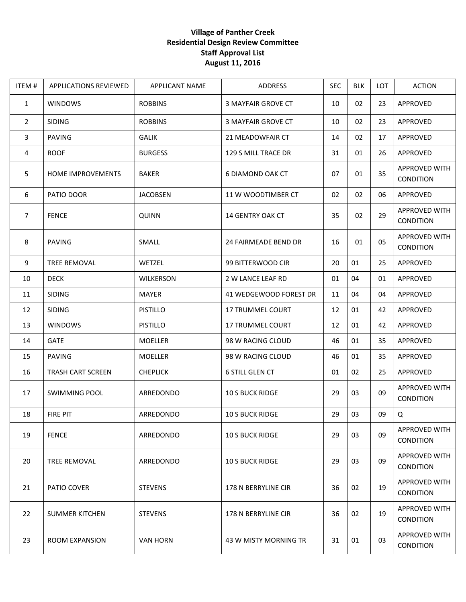## **Village of Panther Creek Residential Design Review Committee Staff Approval List August 11, 2016**

| ITEM#          | <b>APPLICATIONS REVIEWED</b> | <b>APPLICANT NAME</b> | ADDRESS                     | <b>SEC</b> | <b>BLK</b> | <b>LOT</b> | <b>ACTION</b>                     |
|----------------|------------------------------|-----------------------|-----------------------------|------------|------------|------------|-----------------------------------|
| 1              | <b>WINDOWS</b>               | <b>ROBBINS</b>        | <b>3 MAYFAIR GROVE CT</b>   | 10         | 02         | 23         | APPROVED                          |
| $\overline{2}$ | <b>SIDING</b>                | <b>ROBBINS</b>        | <b>3 MAYFAIR GROVE CT</b>   | 10         | 02         | 23         | APPROVED                          |
| 3              | <b>PAVING</b>                | <b>GALIK</b>          | 21 MEADOWFAIR CT            | 14         | 02         | 17         | APPROVED                          |
| 4              | <b>ROOF</b>                  | <b>BURGESS</b>        | 129 S MILL TRACE DR         | 31         | 01         | 26         | APPROVED                          |
| 5              | <b>HOME IMPROVEMENTS</b>     | <b>BAKER</b>          | <b>6 DIAMOND OAK CT</b>     | 07         | 01         | 35         | APPROVED WITH<br><b>CONDITION</b> |
| 6              | PATIO DOOR                   | <b>JACOBSEN</b>       | 11 W WOODTIMBER CT          | 02         | 02         | 06         | APPROVED                          |
| $\overline{7}$ | <b>FENCE</b>                 | <b>QUINN</b>          | 14 GENTRY OAK CT            | 35         | 02         | 29         | APPROVED WITH<br><b>CONDITION</b> |
| 8              | <b>PAVING</b>                | SMALL                 | <b>24 FAIRMEADE BEND DR</b> | 16         | 01         | 05         | APPROVED WITH<br><b>CONDITION</b> |
| 9              | TREE REMOVAL                 | WETZEL                | 99 BITTERWOOD CIR           | 20         | 01         | 25         | APPROVED                          |
| 10             | <b>DECK</b>                  | <b>WILKERSON</b>      | 2 W LANCE LEAF RD           | 01         | 04         | 01         | APPROVED                          |
| 11             | <b>SIDING</b>                | <b>MAYER</b>          | 41 WEDGEWOOD FOREST DR      | 11         | 04         | 04         | <b>APPROVED</b>                   |
| 12             | <b>SIDING</b>                | <b>PISTILLO</b>       | <b>17 TRUMMEL COURT</b>     | 12         | 01         | 42         | APPROVED                          |
| 13             | <b>WINDOWS</b>               | <b>PISTILLO</b>       | 17 TRUMMEL COURT            | 12         | 01         | 42         | APPROVED                          |
| 14             | <b>GATE</b>                  | <b>MOELLER</b>        | 98 W RACING CLOUD           | 46         | 01         | 35         | APPROVED                          |
| 15             | <b>PAVING</b>                | <b>MOELLER</b>        | 98 W RACING CLOUD           | 46         | 01         | 35         | APPROVED                          |
| 16             | <b>TRASH CART SCREEN</b>     | <b>CHEPLICK</b>       | <b>6 STILL GLEN CT</b>      | 01         | 02         | 25         | APPROVED                          |
| 17             | <b>SWIMMING POOL</b>         | ARREDONDO             | <b>10 S BUCK RIDGE</b>      | 29         | 03         | 09         | APPROVED WITH<br><b>CONDITION</b> |
| 18             | <b>FIRE PIT</b>              | ARREDONDO             | <b>10 S BUCK RIDGE</b>      | 29         | 03         | 09         | Q                                 |
| 19             | <b>FENCE</b>                 | ARREDONDO             | <b>10 S BUCK RIDGE</b>      | 29         | 03         | 09         | APPROVED WITH<br><b>CONDITION</b> |
| 20             | TREE REMOVAL                 | ARREDONDO             | <b>10 S BUCK RIDGE</b>      | 29         | 03         | 09         | APPROVED WITH<br><b>CONDITION</b> |
| 21             | PATIO COVER                  | <b>STEVENS</b>        | 178 N BERRYLINE CIR         | 36         | 02         | 19         | APPROVED WITH<br>CONDITION        |
| 22             | <b>SUMMER KITCHEN</b>        | <b>STEVENS</b>        | 178 N BERRYLINE CIR         | 36         | 02         | 19         | APPROVED WITH<br><b>CONDITION</b> |
| 23             | ROOM EXPANSION               | <b>VAN HORN</b>       | 43 W MISTY MORNING TR       | 31         | 01         | 03         | APPROVED WITH<br>CONDITION        |